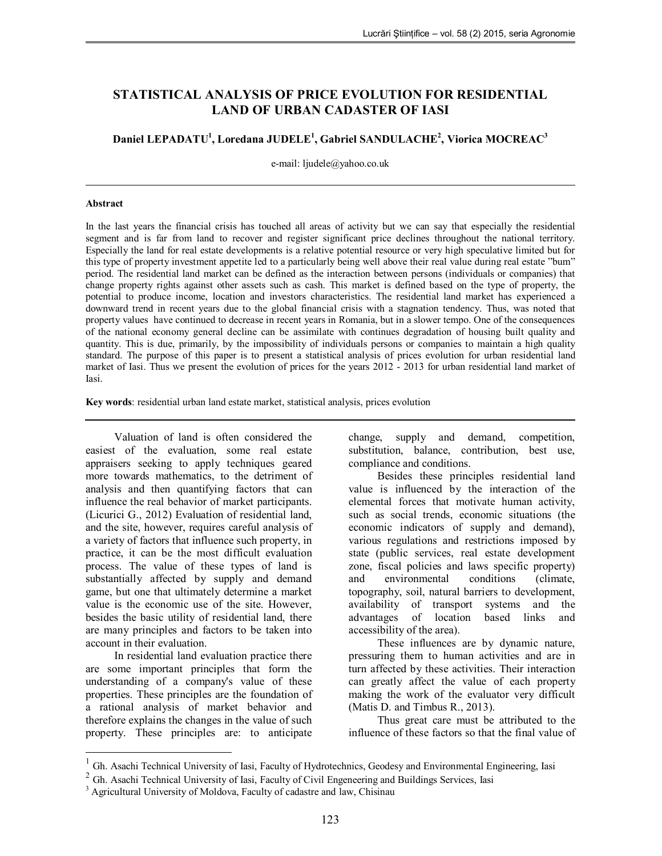# **STATISTICAL ANALYSIS OF PRICE EVOLUTION FOR RESIDENTIAL LAND OF URBAN CADASTER OF IASI**

**Daniel LEPADATU<sup>1</sup> , Loredana JUDELE<sup>1</sup> , Gabriel SANDULACHE 2 , Viorica MOCREAC<sup>3</sup>**

e-mail: ljudele@yahoo.co.uk

#### **Abstract**

In the last years the financial crisis has touched all areas of activity but we can say that especially the residential segment and is far from land to recover and register significant price declines throughout the national territory. Especially the land for real estate developments is a relative potential resource or very high speculative limited but for this type of property investment appetite led to a particularly being well above their real value during real estate "bum" period. The residential land market can be defined as the interaction between persons (individuals or companies) that change property rights against other assets such as cash. This market is defined based on the type of property, the potential to produce income, location and investors characteristics. The residential land market has experienced a downward trend in recent years due to the global financial crisis with a stagnation tendency. Thus, was noted that property values have continued to decrease in recent years in Romania, but in a slower tempo. One of the consequences of the national economy general decline can be assimilate with continues degradation of housing built quality and quantity. This is due, primarily, by the impossibility of individuals persons or companies to maintain a high quality standard. The purpose of this paper is to present a statistical analysis of prices evolution for urban residential land market of Iasi. Thus we present the evolution of prices for the years 2012 - 2013 for urban residential land market of Iasi.

**Key words**: residential urban land estate market, statistical analysis, prices evolution

Valuation of land is often considered the easiest of the evaluation, some real estate appraisers seeking to apply techniques geared more towards mathematics, to the detriment of analysis and then quantifying factors that can influence the real behavior of market participants. (Licurici G., 2012) Evaluation of residential land, and the site, however, requires careful analysis of a variety of factors that influence such property, in practice, it can be the most difficult evaluation process. The value of these types of land is substantially affected by supply and demand game, but one that ultimately determine a market value is the economic use of the site. However, besides the basic utility of residential land, there are many principles and factors to be taken into account in their evaluation.

In residential land evaluation practice there are some important principles that form the understanding of a company's value of these properties. These principles are the foundation of a rational analysis of market behavior and therefore explains the changes in the value of such property. These principles are: to anticipate

 $\overline{a}$ 

change, supply and demand, competition, substitution, balance, contribution, best use, compliance and conditions.

Besides these principles residential land value is influenced by the interaction of the elemental forces that motivate human activity, such as social trends, economic situations (the economic indicators of supply and demand), various regulations and restrictions imposed by state (public services, real estate development zone, fiscal policies and laws specific property) and environmental conditions (climate, topography, soil, natural barriers to development, availability of transport systems and the advantages of location based links and accessibility of the area).

These influences are by dynamic nature, pressuring them to human activities and are in turn affected by these activities. Their interaction can greatly affect the value of each property making the work of the evaluator very difficult (Matis D. and Timbus R., 2013).

Thus great care must be attributed to the influence of these factors so that the final value of

<sup>1</sup> Gh. Asachi Technical University of Iasi, Faculty of Hydrotechnics, Geodesy and Environmental Engineering, Iasi

 $2$  Gh. Asachi Technical University of Iasi, Faculty of Civil Engeneering and Buildings Services, Iasi

<sup>&</sup>lt;sup>3</sup> Agricultural University of Moldova, Faculty of cadastre and law, Chisinau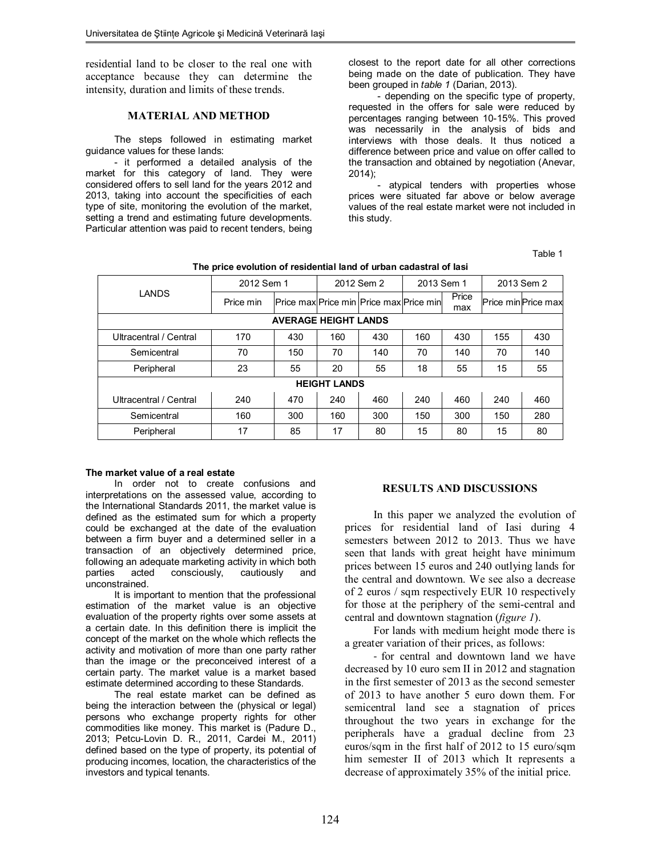residential land to be closer to the real one with acceptance because they can determine the intensity, duration and limits of these trends.

## **MATERIAL AND METHOD**

The steps followed in estimating market guidance values for these lands:

- it performed a detailed analysis of the market for this category of land. They were considered offers to sell land for the years 2012 and 2013, taking into account the specificities of each type of site, monitoring the evolution of the market, setting a trend and estimating future developments. Particular attention was paid to recent tenders, being

closest to the report date for all other corrections being made on the date of publication. They have been grouped in *table 1* (Darian, 2013).

- depending on the specific type of property, requested in the offers for sale were reduced by percentages ranging between 10-15%. This proved was necessarily in the analysis of bids and interviews with those deals. It thus noticed a difference between price and value on offer called to the transaction and obtained by negotiation (Anevar, 2014);

- atypical tenders with properties whose prices were situated far above or below average values of the real estate market were not included in this study.

Table 1

| LANDS                       | 2012 Sem 1 |     | 2012 Sem 2 |                                         | 2013 Sem 1 |              | 2013 Sem 2 |                    |
|-----------------------------|------------|-----|------------|-----------------------------------------|------------|--------------|------------|--------------------|
|                             | Price min  |     |            | Price max Price min Price max Price min |            | Price<br>max |            | Price minPrice max |
| <b>AVERAGE HEIGHT LANDS</b> |            |     |            |                                         |            |              |            |                    |
| Ultracentral / Central      | 170        | 430 | 160        | 430                                     | 160        | 430          | 155        | 430                |
| Semicentral                 | 70         | 150 | 70         | 140                                     | 70         | 140          | 70         | 140                |
| Peripheral                  | 23         | 55  | 20         | 55                                      | 18         | 55           | 15         | 55                 |
| <b>HEIGHT LANDS</b>         |            |     |            |                                         |            |              |            |                    |
| Ultracentral / Central      | 240        | 470 | 240        | 460                                     | 240        | 460          | 240        | 460                |
| Semicentral                 | 160        | 300 | 160        | 300                                     | 150        | 300          | 150        | 280                |
| Peripheral                  | 17         | 85  | 17         | 80                                      | 15         | 80           | 15         | 80                 |

**The price evolution of residential land of urban cadastral of Iasi**

### **The market value of a real estate**

In order not to create confusions and interpretations on the assessed value, according to the International Standards 2011, the market value is defined as the estimated sum for which a property could be exchanged at the date of the evaluation between a firm buyer and a determined seller in a transaction of an objectively determined price, following an adequate marketing activity in which both parties acted consciously, cautiously and unconstrained.

It is important to mention that the professional estimation of the market value is an objective evaluation of the property rights over some assets at a certain date. In this definition there is implicit the concept of the market on the whole which reflects the activity and motivation of more than one party rather than the image or the preconceived interest of a certain party. The market value is a market based estimate determined according to these Standards.

The real estate market can be defined as being the interaction between the (physical or legal) persons who exchange property rights for other commodities like money. This market is (Padure D., 2013; Petcu-Lovin D. R., 2011, Cardei M., 2011) defined based on the type of property, its potential of producing incomes, location, the characteristics of the investors and typical tenants.

## **RESULTS AND DISCUSSIONS**

In this paper we analyzed the evolution of prices for residential land of Iasi during 4 semesters between 2012 to 2013. Thus we have seen that lands with great height have minimum prices between 15 euros and 240 outlying lands for the central and downtown. We see also a decrease of 2 euros / sqm respectively EUR 10 respectively for those at the periphery of the semi-central and central and downtown stagnation (*figure 1*).

For lands with medium height mode there is a greater variation of their prices, as follows:

- for central and downtown land we have decreased by 10 euro sem II in 2012 and stagnation in the first semester of 2013 as the second semester of 2013 to have another 5 euro down them. For semicentral land see a stagnation of prices throughout the two years in exchange for the peripherals have a gradual decline from 23 euros/sqm in the first half of 2012 to 15 euro/sqm him semester II of 2013 which It represents a decrease of approximately 35% of the initial price.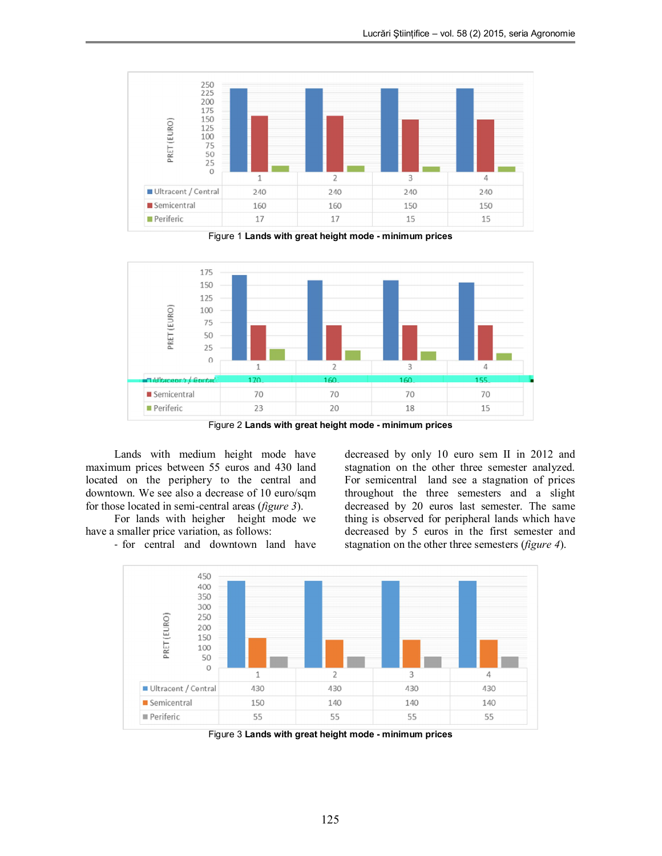

Figure 1 **Lands with great height mode - minimum prices** 



Figure 2 **Lands with great height mode - minimum prices** 

Lands with medium height mode have maximum prices between 55 euros and 430 land located on the periphery to the central and downtown. We see also a decrease of 10 euro/sqm for those located in semi-central areas (*figure 3*).

For lands with heigher height mode we have a smaller price variation, as follows:

- for central and downtown land have

decreased by only 10 euro sem II in 2012 and stagnation on the other three semester analyzed. For semicentral land see a stagnation of prices throughout the three semesters and a slight decreased by 20 euros last semester. The same thing is observed for peripheral lands which have decreased by 5 euros in the first semester and stagnation on the other three semesters (*figure 4*).



Figure 3 **Lands with great height mode - minimum prices**